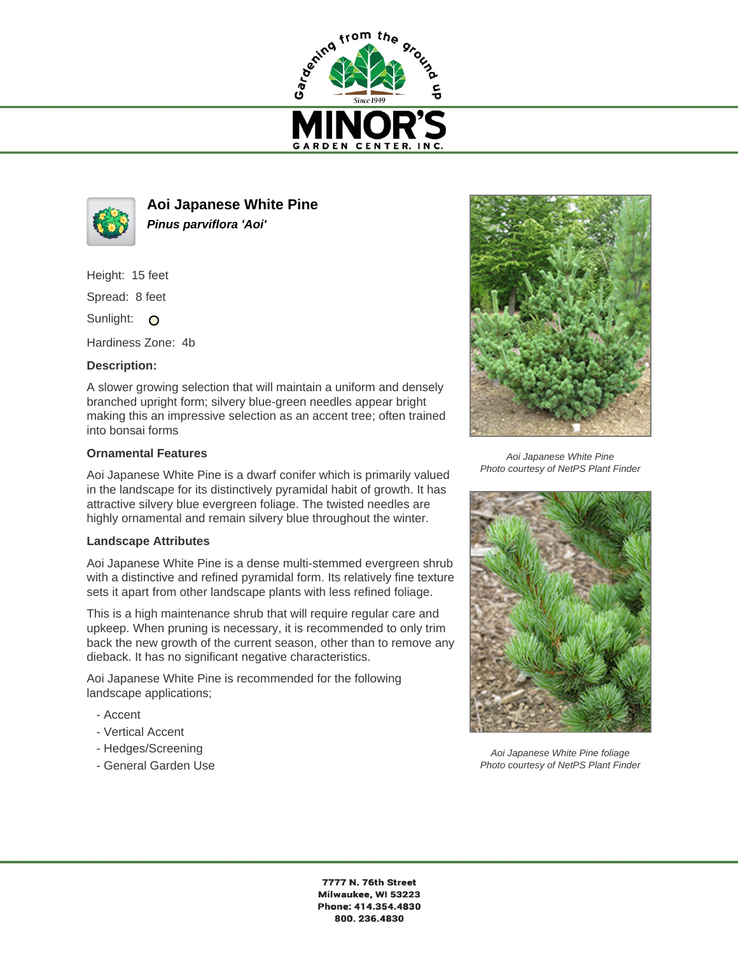



**Aoi Japanese White Pine Pinus parviflora 'Aoi'**

Height: 15 feet

Spread: 8 feet

Sunlight: O

Hardiness Zone: 4b

## **Description:**

A slower growing selection that will maintain a uniform and densely branched upright form; silvery blue-green needles appear bright making this an impressive selection as an accent tree; often trained into bonsai forms

## **Ornamental Features**

Aoi Japanese White Pine is a dwarf conifer which is primarily valued in the landscape for its distinctively pyramidal habit of growth. It has attractive silvery blue evergreen foliage. The twisted needles are highly ornamental and remain silvery blue throughout the winter.

## **Landscape Attributes**

Aoi Japanese White Pine is a dense multi-stemmed evergreen shrub with a distinctive and refined pyramidal form. Its relatively fine texture sets it apart from other landscape plants with less refined foliage.

This is a high maintenance shrub that will require regular care and upkeep. When pruning is necessary, it is recommended to only trim back the new growth of the current season, other than to remove any dieback. It has no significant negative characteristics.

Aoi Japanese White Pine is recommended for the following landscape applications;

- Accent
- Vertical Accent
- Hedges/Screening
- General Garden Use



Aoi Japanese White Pine Photo courtesy of NetPS Plant Finder



Aoi Japanese White Pine foliage Photo courtesy of NetPS Plant Finder

7777 N. 76th Street Milwaukee, WI 53223 Phone: 414.354.4830 800.236.4830